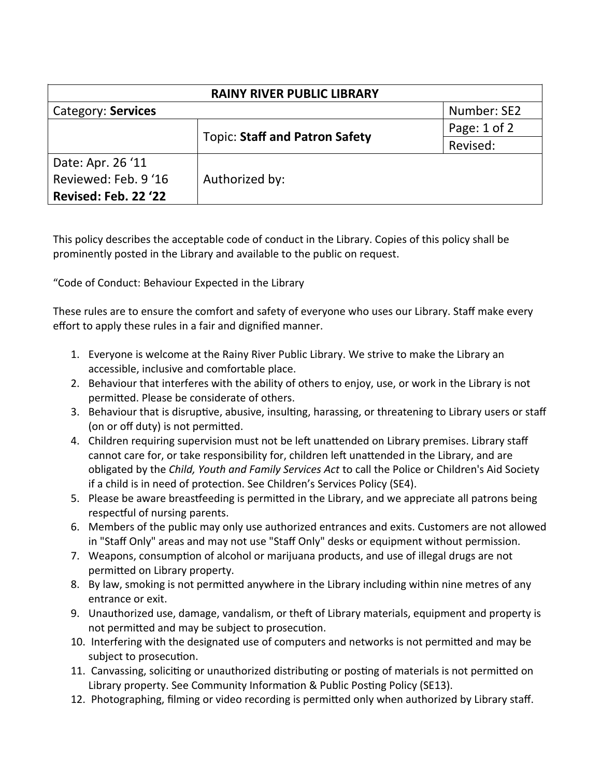| <b>RAINY RIVER PUBLIC LIBRARY</b> |                                       |              |  |
|-----------------------------------|---------------------------------------|--------------|--|
| Category: Services                |                                       | Number: SE2  |  |
|                                   | <b>Topic: Staff and Patron Safety</b> | Page: 1 of 2 |  |
|                                   |                                       | Revised:     |  |
| Date: Apr. 26 '11                 |                                       |              |  |
| Reviewed: Feb. 9 '16              | Authorized by:                        |              |  |
| Revised: Feb. 22 '22              |                                       |              |  |

This policy describes the acceptable code of conduct in the Library. Copies of this policy shall be prominently posted in the Library and available to the public on request.

"Code of Conduct: Behaviour Expected in the Library

These rules are to ensure the comfort and safety of everyone who uses our Library. Staff make every effort to apply these rules in a fair and dignified manner.

- 1. Everyone is welcome at the Rainy River Public Library. We strive to make the Library an accessible, inclusive and comfortable place.
- 2. Behaviour that interferes with the ability of others to enjoy, use, or work in the Library is not permitted. Please be considerate of others.
- 3. Behaviour that is disruptive, abusive, insulting, harassing, or threatening to Library users or staff (on or off duty) is not permitted.
- 4. Children requiring supervision must not be left unattended on Library premises. Library staff cannot care for, or take responsibility for, children left unattended in the Library, and are obligated by the *Child, Youth and Family Services Act* to call the Police or Children's Aid Society if a child is in need of protection. See Children's Services Policy (SE4).
- 5. Please be aware breastfeeding is permitted in the Library, and we appreciate all patrons being respectful of nursing parents.
- 6. Members of the public may only use authorized entrances and exits. Customers are not allowed in "Staff Only" areas and may not use "Staff Only" desks or equipment without permission.
- 7. Weapons, consumption of alcohol or marijuana products, and use of illegal drugs are not permitted on Library property.
- 8. By law, smoking is not permitted anywhere in the Library including within nine metres of any entrance or exit.
- 9. Unauthorized use, damage, vandalism, or theft of Library materials, equipment and property is not permitted and may be subject to prosecution.
- 10. Interfering with the designated use of computers and networks is not permitted and may be subject to prosecution.
- 11. Canvassing, soliciting or unauthorized distributing or posting of materials is not permitted on Library property. See Community Information & Public Posting Policy (SE13).
- 12. Photographing, filming or video recording is permitted only when authorized by Library staff.